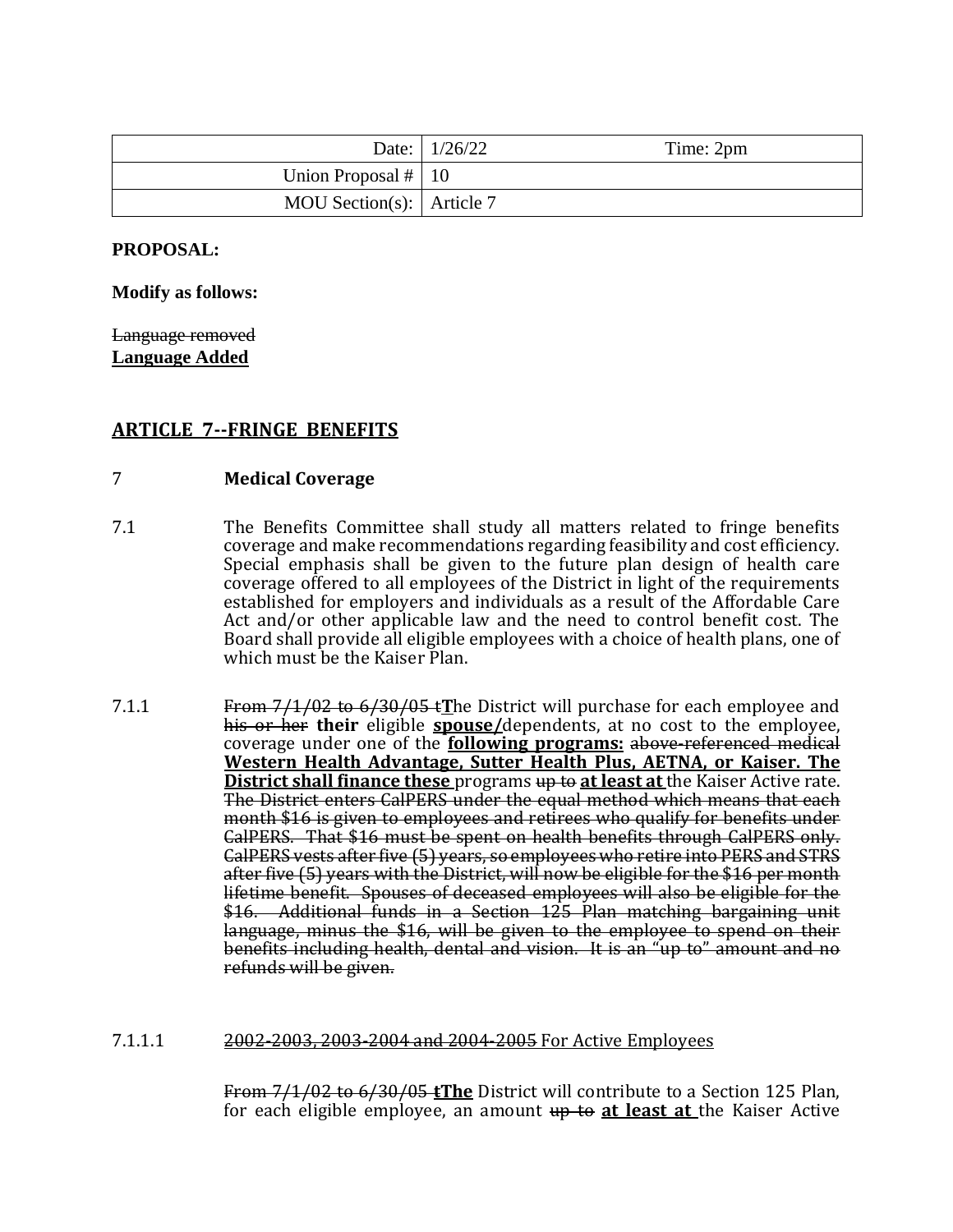|                                   | Date: $1/26/22$ | Time: 2pm |
|-----------------------------------|-----------------|-----------|
| Union Proposal $#$   10           |                 |           |
| MOU Section(s): $\vert$ Article 7 |                 |           |

## **PROPOSAL:**

**Modify as follows:**

Language removed **Language Added**

# **ARTICLE 7--FRINGE BENEFITS**

## 7 **Medical Coverage**

- 7.1 The Benefits Committee shall study all matters related to fringe benefits coverage and make recommendations regarding feasibility and cost efficiency. Special emphasis shall be given to the future plan design of health care coverage offered to all employees of the District in light of the requirements established for employers and individuals as a result of the Affordable Care Act and/or other applicable law and the need to control benefit cost. The Board shall provide all eligible employees with a choice of health plans, one of which must be the Kaiser Plan.
- 7.1.1 From 7/1/02 to 6/30/05 t**T**he District will purchase for each employee and his or her **their** eligible **spouse/**dependents, at no cost to the employee, coverage under one of the **following programs:** above-referenced medical **Western Health Advantage, Sutter Health Plus, AETNA, or Kaiser. The District shall finance these** programs up to at least at the Kaiser Active rate. The District enters CalPERS under the equal method which means that each month \$16 is given to employees and retirees who qualify for benefits under CalPERS. That \$16 must be spent on health benefits through CalPERS only. CalPERS vests after five (5) years, so employees who retire into PERS and STRS after five (5) years with the District, will now be eligible for the \$16 per month lifetime benefit. Spouses of deceased employees will also be eligible for the \$16. Additional funds in a Section 125 Plan matching bargaining unit language, minus the \$16, will be given to the employee to spend on their benefits including health, dental and vision. It is an "up to" amount and no refunds will be given.

### 7.1.1.1 2002-2003, 2003-2004 and 2004-2005 For Active Employees

From 7/1/02 to 6/30/05 **tThe** District will contribute to a Section 125 Plan, for each eligible employee, an amount up to **at least at** the Kaiser Active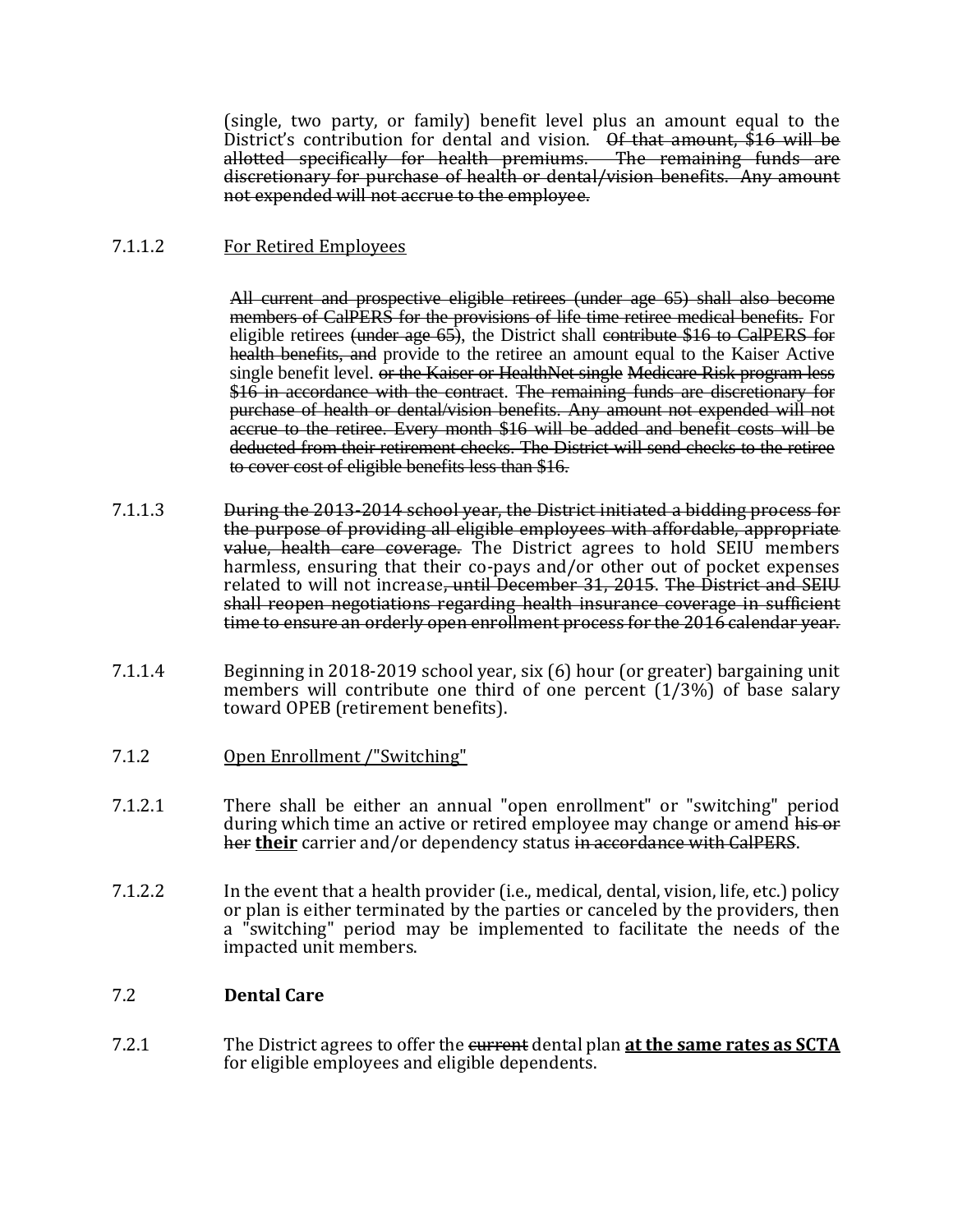(single, two party, or family) benefit level plus an amount equal to the District's contribution for dental and vision.  $\Theta f$  that amount, \$16 will be allotted specifically for health premiums. The remaining funds are discretionary for purchase of health or dental/vision benefits. Any amount not expended will not accrue to the employee.

# 7.1.1.2 For Retired Employees

All current and prospective eligible retirees (under age 65) shall also become members of CalPERS for the provisions of life time retiree medical benefits. For eligible retirees (under age  $65$ ), the District shall contribute \$16 to CalPERS for health benefits, and provide to the retiree an amount equal to the Kaiser Active single benefit level. or the Kaiser or HealthNet single Medicare Risk program less \$16 in accordance with the contract. The remaining funds are discretionary for purchase of health or dental/vision benefits. Any amount not expended will not accrue to the retiree. Every month \$16 will be added and benefit costs will be deducted from their retirement checks. The District will send checks to the retiree to cover cost of eligible benefits less than \$16.

- 7.1.1.3 During the 2013-2014 school year, the District initiated a bidding process for the purpose of providing all eligible employees with affordable, appropriate value, health care coverage. The District agrees to hold SEIU members harmless, ensuring that their co-pays and/or other out of pocket expenses related to will not increase<del>, until December 31, 2015</del>. The District and SEIU shall reopen negotiations regarding health insurance coverage in sufficient time to ensure an orderly open enrollment process for the 2016 calendar year.
- 7.1.1.4 Beginning in 2018-2019 school year, six (6) hour (or greater) bargaining unit members will contribute one third of one percent (1/3%) of base salary toward OPEB (retirement benefits).
- 7.1.2 Open Enrollment /"Switching"
- 7.1.2.1 There shall be either an annual "open enrollment" or "switching" period during which time an active or retired employee may change or amend his or her **their** carrier and/or dependency status in accordance with CalPERS.
- 7.1.2.2 In the event that a health provider (i.e., medical, dental, vision, life, etc.) policy or plan is either terminated by the parties or canceled by the providers, then a "switching" period may be implemented to facilitate the needs of the impacted unit members.

# 7.2 **Dental Care**

7.2.1 The District agrees to offer the current dental plan **at the same rates as SCTA**  for eligible employees and eligible dependents.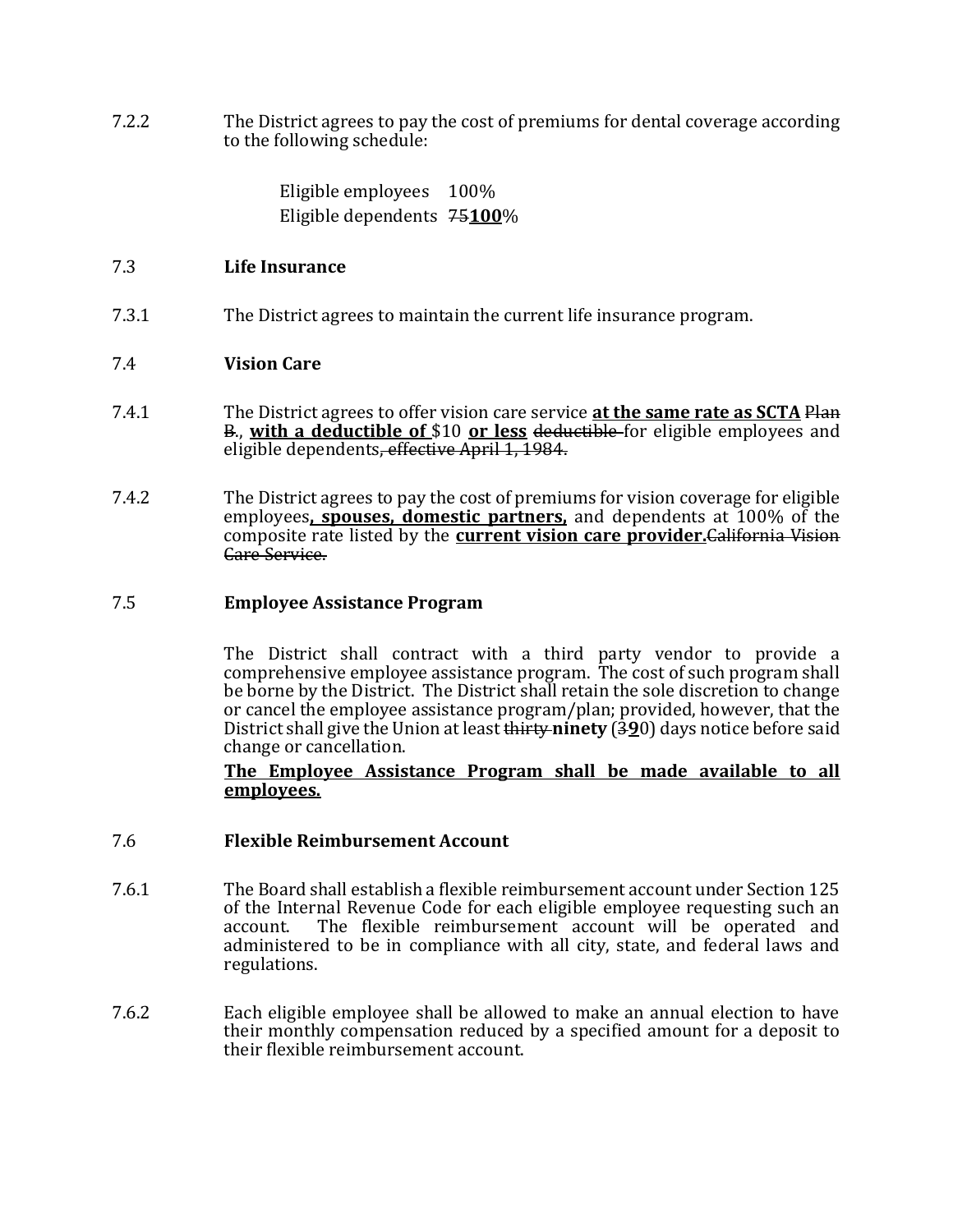7.2.2 The District agrees to pay the cost of premiums for dental coverage according to the following schedule:

> Eligible employees 100% Eligible dependents 75**100**%

## 7.3 **Life Insurance**

7.3.1 The District agrees to maintain the current life insurance program.

## 7.4 **Vision Care**

- 7.4.1 The District agrees to offer vision care service **at the same rate as SCTA** Plan B., **with a deductible of** \$10 **or less** deductible for eligible employees and eligible dependents, effective April 1, 1984.
- 7.4.2 The District agrees to pay the cost of premiums for vision coverage for eligible employees**, spouses, domestic partners,** and dependents at 100% of the composite rate listed by the **current vision care provider.**California Vision Care Service.

## 7.5 **Employee Assistance Program**

The District shall contract with a third party vendor to provide a comprehensive employee assistance program. The cost of such program shall be borne by the District. The District shall retain the sole discretion to change or cancel the employee assistance program/plan; provided, however, that the District shall give the Union at least thirty **ninety** (3**9**0) days notice before said change or cancellation.

## **The Employee Assistance Program shall be made available to all employees.**

### 7.6 **Flexible Reimbursement Account**

- 7.6.1 The Board shall establish a flexible reimbursement account under Section 125 of the Internal Revenue Code for each eligible employee requesting such an account. The flexible reimbursement account will be operated and administered to be in compliance with all city, state, and federal laws and regulations.
- 7.6.2 Each eligible employee shall be allowed to make an annual election to have their monthly compensation reduced by a specified amount for a deposit to their flexible reimbursement account.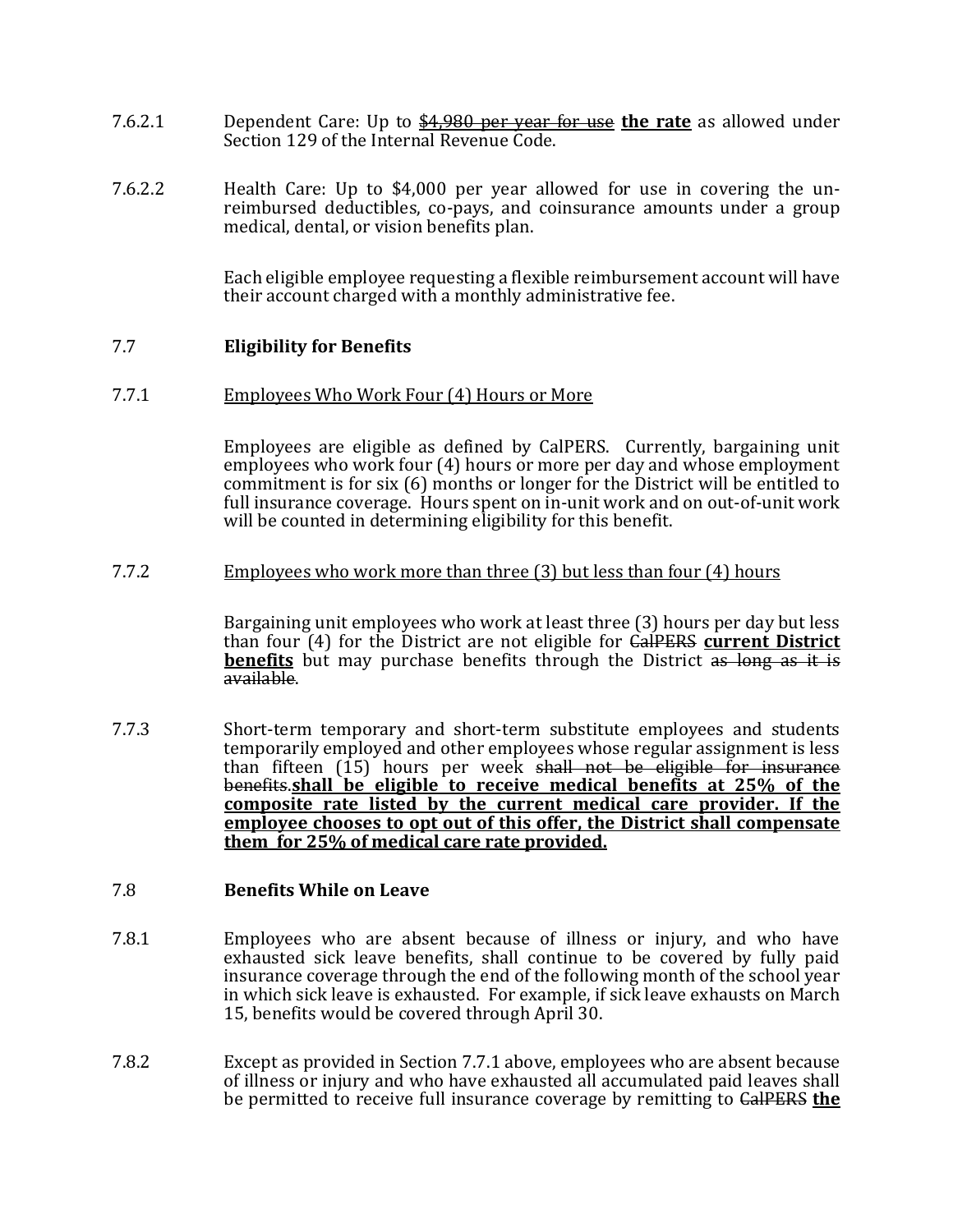- 7.6.2.1 Dependent Care: Up to \$4,980 per year for use **the rate** as allowed under Section 129 of the Internal Revenue Code.
- 7.6.2.2 Health Care: Up to \$4,000 per year allowed for use in covering the unreimbursed deductibles, co-pays, and coinsurance amounts under a group medical, dental, or vision benefits plan.

Each eligible employee requesting a flexible reimbursement account will have their account charged with a monthly administrative fee.

## 7.7 **Eligibility for Benefits**

#### 7.7.1 Employees Who Work Four (4) Hours or More

Employees are eligible as defined by CalPERS. Currently, bargaining unit employees who work four (4) hours or more per day and whose employment commitment is for six (6) months or longer for the District will be entitled to full insurance coverage. Hours spent on in-unit work and on out-of-unit work will be counted in determining eligibility for this benefit.

#### 7.7.2 Employees who work more than three (3) but less than four (4) hours

Bargaining unit employees who work at least three (3) hours per day but less than four (4) for the District are not eligible for CalPERS **current District benefits** but may purchase benefits through the District as long as it is available.

7.7.3 Short-term temporary and short-term substitute employees and students temporarily employed and other employees whose regular assignment is less than fifteen (15) hours per week shall not be eligible for insurance benefits.**shall be eligible to receive medical benefits at 25% of the composite rate listed by the current medical care provider. If the employee chooses to opt out of this offer, the District shall compensate them for 25% of medical care rate provided.**

### 7.8 **Benefits While on Leave**

- 7.8.1 Employees who are absent because of illness or injury, and who have exhausted sick leave benefits, shall continue to be covered by fully paid insurance coverage through the end of the following month of the school year in which sick leave is exhausted. For example, if sick leave exhausts on March 15, benefits would be covered through April 30.
- 7.8.2 Except as provided in Section 7.7.1 above, employees who are absent because of illness or injury and who have exhausted all accumulated paid leaves shall be permitted to receive full insurance coverage by remitting to CalPERS **the**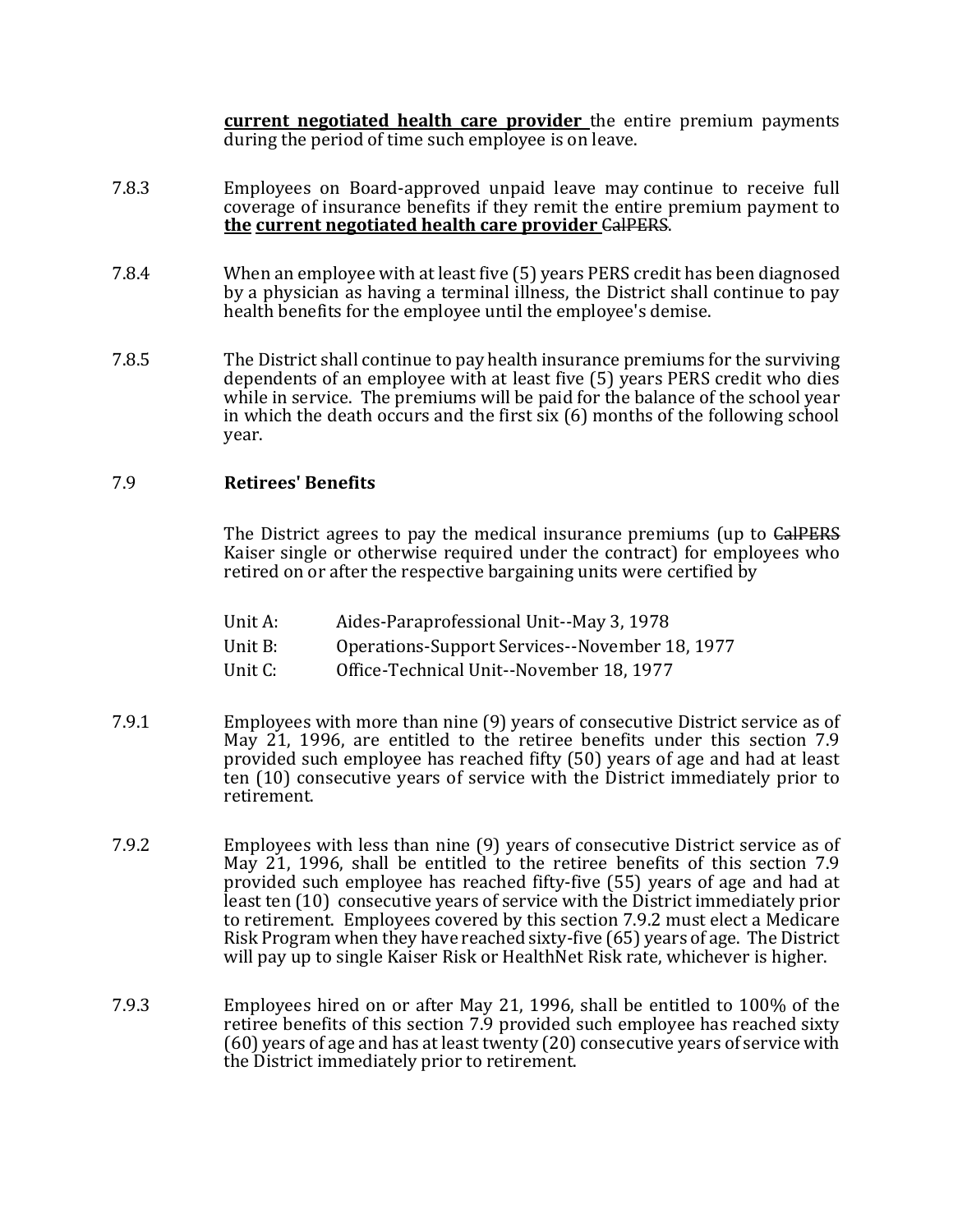**current negotiated health care provider** the entire premium payments during the period of time such employee is on leave.

- 7.8.3 Employees on Board-approved unpaid leave may continue to receive full coverage of insurance benefits if they remit the entire premium payment to **the current negotiated health care provider** CalPERS.
- 7.8.4 When an employee with at least five (5) years PERS credit has been diagnosed by a physician as having a terminal illness, the District shall continue to pay health benefits for the employee until the employee's demise.
- 7.8.5 The District shall continue to pay health insurance premiums for the surviving dependents of an employee with at least five (5) years PERS credit who dies while in service. The premiums will be paid for the balance of the school year in which the death occurs and the first six (6) months of the following school year.

## 7.9 **Retirees' Benefits**

The District agrees to pay the medical insurance premiums (up to CalPERS Kaiser single or otherwise required under the contract) for employees who retired on or after the respective bargaining units were certified by

- Unit A: Aides-Paraprofessional Unit--May 3, 1978
- Unit B: Operations-Support Services--November 18, 1977
- Unit C: Office-Technical Unit--November 18, 1977
- 7.9.1 Employees with more than nine (9) years of consecutive District service as of May 21, 1996, are entitled to the retiree benefits under this section 7.9 provided such employee has reached fifty (50) years of age and had at least ten (10) consecutive years of service with the District immediately prior to retirement.
- 7.9.2 Employees with less than nine (9) years of consecutive District service as of May 21, 1996, shall be entitled to the retiree benefits of this section 7.9 provided such employee has reached fifty-five (55) years of age and had at least ten (10) consecutive years of service with the District immediately prior to retirement. Employees covered by this section 7.9.2 must elect a Medicare Risk Program when they have reached sixty-five (65) years of age. The District will pay up to single Kaiser Risk or HealthNet Risk rate, whichever is higher.
- 7.9.3 Employees hired on or after May 21, 1996, shall be entitled to 100% of the retiree benefits of this section 7.9 provided such employee has reached sixty (60) years of age and has at least twenty (20) consecutive years of service with the District immediately prior to retirement.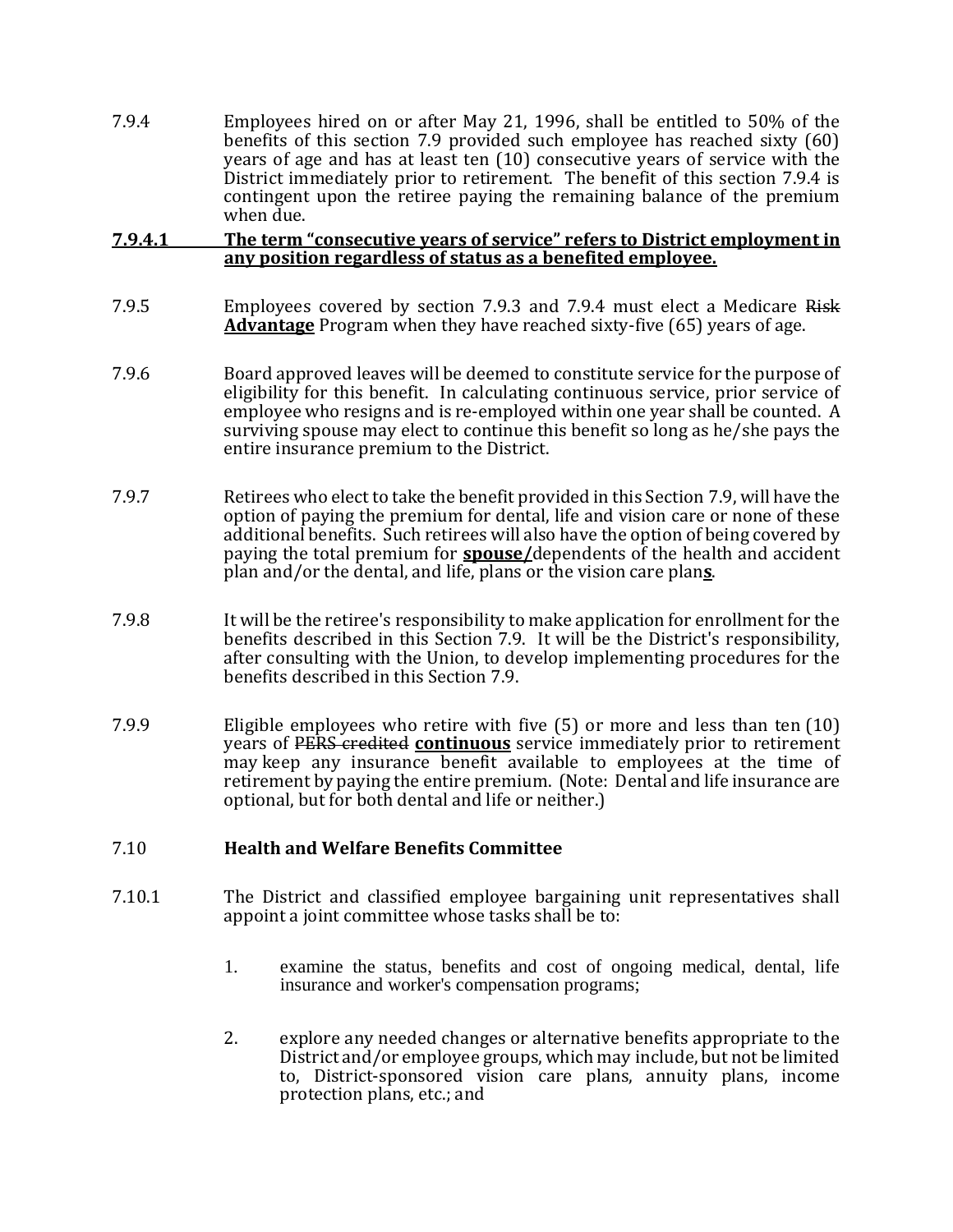7.9.4 Employees hired on or after May 21, 1996, shall be entitled to 50% of the benefits of this section 7.9 provided such employee has reached sixty (60) years of age and has at least ten (10) consecutive years of service with the District immediately prior to retirement. The benefit of this section 7.9.4 is contingent upon the retiree paying the remaining balance of the premium when due.

### **7.9.4.1 The term "consecutive years of service" refers to District employment in any position regardless of status as a benefited employee.**

- 7.9.5 Employees covered by section 7.9.3 and 7.9.4 must elect a Medicare Risk **Advantage** Program when they have reached sixty-five (65) years of age.
- 7.9.6 Board approved leaves will be deemed to constitute service for the purpose of eligibility for this benefit. In calculating continuous service, prior service of employee who resigns and is re-employed within one year shall be counted. A surviving spouse may elect to continue this benefit so long as he/she pays the entire insurance premium to the District.
- 7.9.7 Retirees who elect to take the benefit provided in this Section 7.9, will have the option of paying the premium for dental, life and vision care or none of these additional benefits. Such retirees will also have the option of being covered by paying the total premium for **spouse/**dependents of the health and accident plan and/or the dental, and life, plans or the vision care plan**s**.
- 7.9.8 It will be the retiree's responsibility to make application for enrollment for the benefits described in this Section 7.9. It will be the District's responsibility, after consulting with the Union, to develop implementing procedures for the benefits described in this Section 7.9.
- 7.9.9 Eligible employees who retire with five (5) or more and less than ten (10) years of PERS credited **continuous** service immediately prior to retirement may keep any insurance benefit available to employees at the time of retirement by paying the entire premium. (Note: Dental and life insurance are optional, but for both dental and life or neither.)

## 7.10 **Health and Welfare Benefits Committee**

- 7.10.1 The District and classified employee bargaining unit representatives shall appoint a joint committee whose tasks shall be to:
	- 1. examine the status, benefits and cost of ongoing medical, dental, life insurance and worker's compensation programs;
	- 2. explore any needed changes or alternative benefits appropriate to the District and/or employee groups, which may include, but not be limited to, District-sponsored vision care plans, annuity plans, income protection plans, etc.; and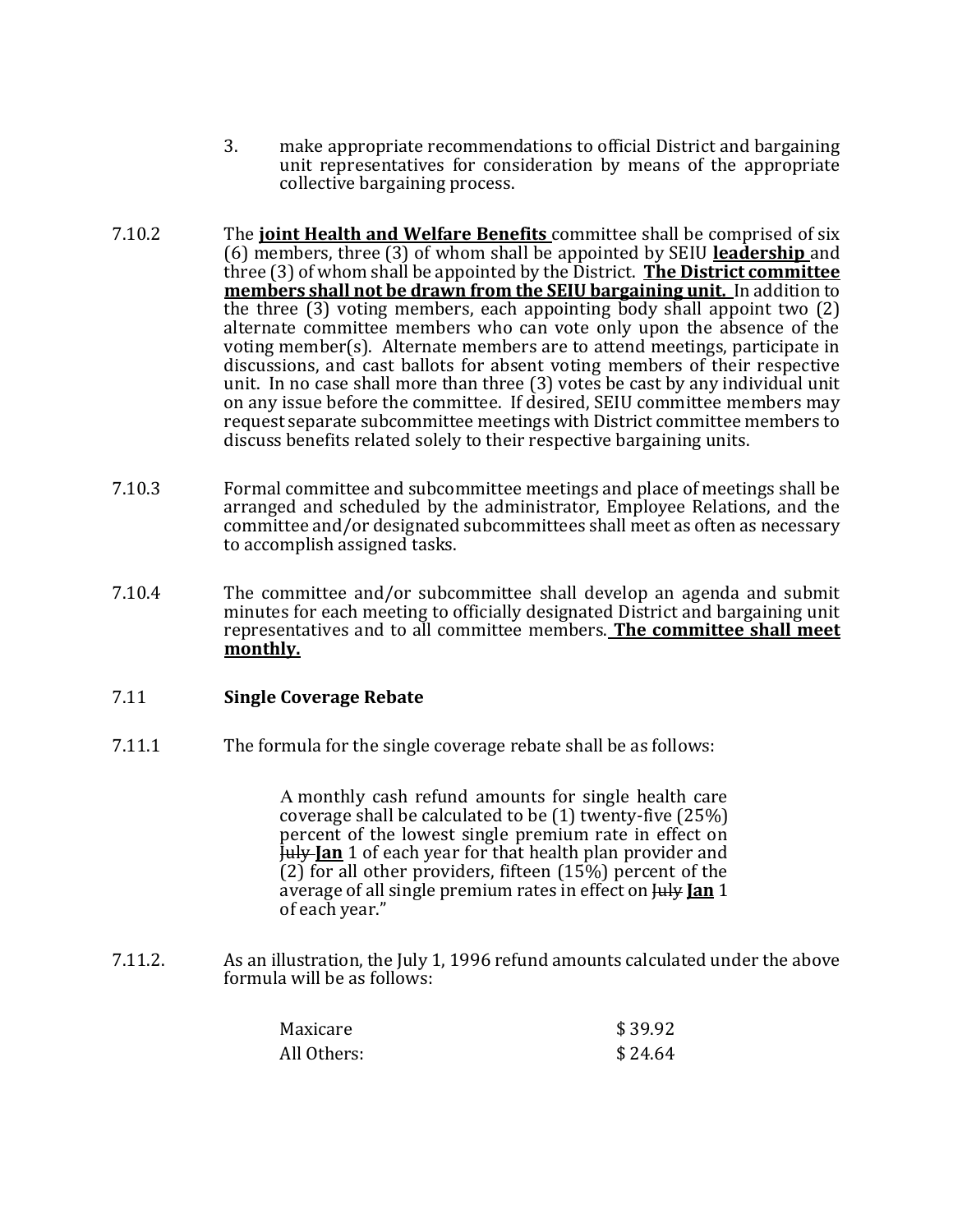- 3. make appropriate recommendations to official District and bargaining unit representatives for consideration by means of the appropriate collective bargaining process.
- 7.10.2 The **joint Health and Welfare Benefits** committee shall be comprised of six (6) members, three (3) of whom shall be appointed by SEIU **leadership** and three (3) of whom shall be appointed by the District. **The District committee members shall not be drawn from the SEIU bargaining unit.** In addition to the three (3) voting members, each appointing body shall appoint two (2) alternate committee members who can vote only upon the absence of the voting member(s). Alternate members are to attend meetings, participate in discussions, and cast ballots for absent voting members of their respective unit. In no case shall more than three (3) votes be cast by any individual unit on any issue before the committee. If desired, SEIU committee members may request separate subcommittee meetings with District committee members to discuss benefits related solely to their respective bargaining units.
- 7.10.3 Formal committee and subcommittee meetings and place of meetings shall be arranged and scheduled by the administrator, Employee Relations, and the committee and/or designated subcommittees shall meet as often as necessary to accomplish assigned tasks.
- 7.10.4 The committee and/or subcommittee shall develop an agenda and submit minutes for each meeting to officially designated District and bargaining unit representatives and to all committee members. **The committee shall meet monthly.**

## 7.11 **Single Coverage Rebate**

7.11.1 The formula for the single coverage rebate shall be as follows:

 monthly cash refund amounts for single health care coverage shall be calculated to be (1) twenty-five (25%) percent of the lowest single premium rate in effect on July **Jan** 1 of each year for that health plan provider and (2) for all other providers, fifteen  $(15\%)$  percent of the average of all single premium rates in effect on July **Jan** 1 of each year."

7.11.2. As an illustration, the July 1, 1996 refund amounts calculated under the above formula will be as follows:

| Maxicare    | \$39.92 |
|-------------|---------|
| All Others: | \$24.64 |